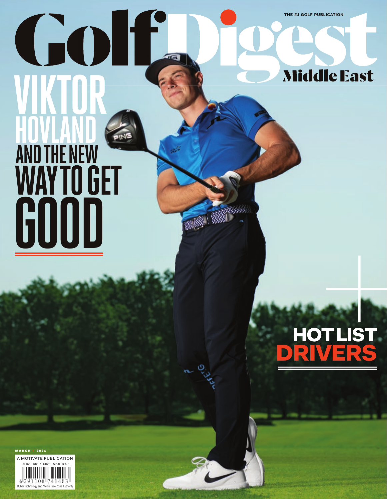**THE** #1 **GOLF PUBLICATION**

**Middle East** 

# **HOVLAND AND THE NEW WAY TO GET VIKTOR GOOD**



march • 2021

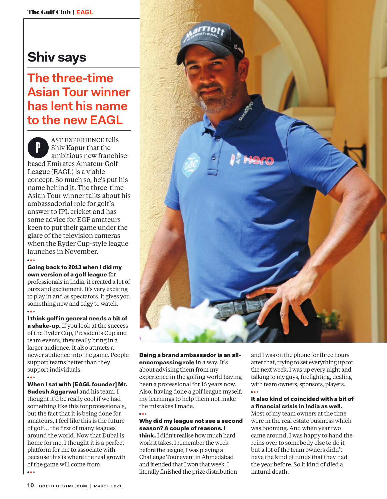## **Shiv says**

### **The three-time Asian Tour winner has lent his name to the new EAGL**

**P** AST EXPERIENCE tells<br>Shiv Kapur that the<br>ambitious now franchi ambitious new franchisebased Emirates Amateur Golf League (EAGL) is a viable concept. So much so, he's put his name behind it. The three-time Asian Tour winner talks about his ambassadorial role for golf's answer to IPL cricket and has some advice for EGF amateurs keen to put their game under the glare of the television cameras when the Ryder Cup-style league launches in November. **● ● ●**

Going back to 2013 when I did my own version of a golf league for professionals in India, it created a lot of buzz and excitement. It's very exciting to play in and as spectators, it gives you something new and edgy to watch. **● ● ●**

I think golf in general needs a bit of a shake-up. If you look at the success of the Ryder Cup, Presidents Cup and team events, they really bring in a larger audience. It also attracts a newer audience into the game. People support teams better than they support individuals.

**● ● ●**

**● ● ●**

When I sat with [EAGL founder] Mr. Sudesh Aggarwal and his team, I thought it'd be really cool if we had something like this for professionals, but the fact that it is being done for amateurs, I feel like this is the future of golf… the first of many leagues around the world. Now that Dubai is home for me, I thought it is a perfect platform for me to associate with because this is where the real growth of the game will come from.



Being a brand ambassador is an allencompassing role in a way. It's about advising them from my experience in the golfing world having been a professional for 16 years now. Also, having done a golf league myself, my learnings to help them not make the mistakes I made. **● ● ●**

### Why did my league not see a second season? A couple of reasons, I

think. I didn't realise how much hard work it takes. I remember the week before the league, I was playing a Challenge Tour event in Ahmedabad and it ended that I won that week. I literally finished the prize distribution and I was on the phone for three hours after that, trying to set everything up for the next week. I was up every night and talking to my guys, firefighting, dealing with team owners, sponsors, players. **● ● ●**

### It also kind of coincided with a bit of a financial crisis in India as well.

Most of my team owners at the time were in the real estate business which was booming. And when year two came around, I was happy to hand the reins over to somebody else to do it but a lot of the team owners didn't have the kind of funds that they had the year before. So it kind of died a natural death.